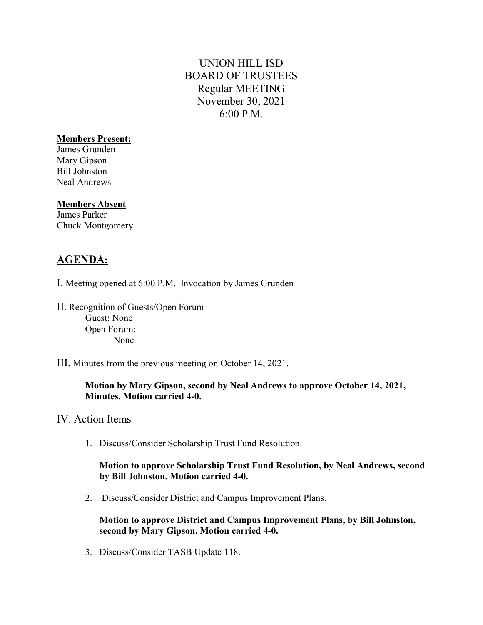# UNION HILL ISD BOARD OF TRUSTEES Regular MEETING November 30, 2021 6:00 P.M.

### Members Present:

James Grunden Mary Gipson Bill Johnston Neal Andrews

#### Members Absent

James Parker Chuck Montgomery

# AGENDA:

- I. Meeting opened at 6:00 P.M. Invocation by James Grunden
- II. Recognition of Guests/Open Forum Guest: None Open Forum: None
- III. Minutes from the previous meeting on October 14, 2021.

### Motion by Mary Gipson, second by Neal Andrews to approve October 14, 2021, Minutes. Motion carried 4-0.

- IV. Action Items
	- 1. Discuss/Consider Scholarship Trust Fund Resolution.

#### Motion to approve Scholarship Trust Fund Resolution, by Neal Andrews, second by Bill Johnston. Motion carried 4-0.

2. Discuss/Consider District and Campus Improvement Plans.

Motion to approve District and Campus Improvement Plans, by Bill Johnston, second by Mary Gipson. Motion carried 4-0.

3. Discuss/Consider TASB Update 118.